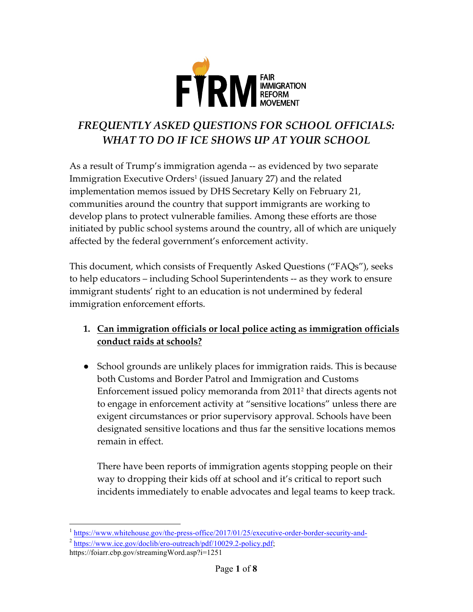

# *FREQUENTLY ASKED QUESTIONS FOR SCHOOL OFFICIALS: WHAT TO DO IF ICE SHOWS UP AT YOUR SCHOOL*

As a result of Trump's immigration agenda -- as evidenced by two separate Immigration Executive Orders<sup>1</sup> (issued January 27) and the related implementation memos issued by DHS Secretary Kelly on February 21, communities around the country that support immigrants are working to develop plans to protect vulnerable families. Among these efforts are those initiated by public school systems around the country, all of which are uniquely affected by the federal government's enforcement activity.

This document, which consists of Frequently Asked Questions ("FAQs"), seeks to help educators – including School Superintendents -- as they work to ensure immigrant students' right to an education is not undermined by federal immigration enforcement efforts.

- **1. Can immigration officials or local police acting as immigration officials conduct raids at schools?**
- School grounds are unlikely places for immigration raids. This is because both Customs and Border Patrol and Immigration and Customs Enforcement issued policy memoranda from 20112 that directs agents not to engage in enforcement activity at "sensitive locations" unless there are exigent circumstances or prior supervisory approval. Schools have been designated sensitive locations and thus far the sensitive locations memos remain in effect.

There have been reports of immigration agents stopping people on their way to dropping their kids off at school and it's critical to report such incidents immediately to enable advocates and legal teams to keep track.

<sup>&</sup>lt;sup>1</sup> https://www.whitehouse.gov/the-press-office/2017/01/25/executive-order-border-security-and-

<sup>2</sup> https://www.ice.gov/doclib/ero-outreach/pdf/10029.2-policy.pdf;

https://foiarr.cbp.gov/streamingWord.asp?i=1251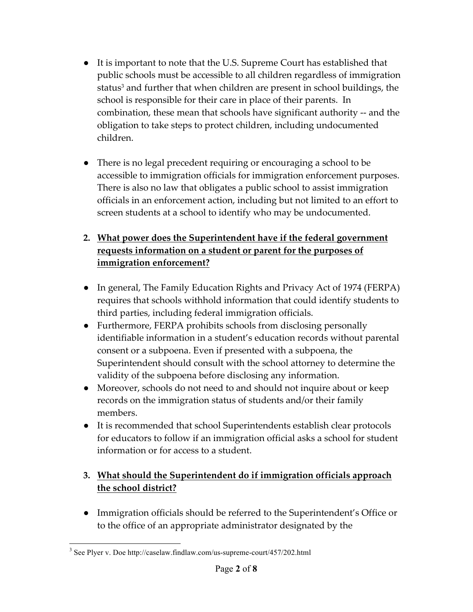- It is important to note that the U.S. Supreme Court has established that public schools must be accessible to all children regardless of immigration status<sup>3</sup> and further that when children are present in school buildings, the school is responsible for their care in place of their parents. In combination, these mean that schools have significant authority -- and the obligation to take steps to protect children, including undocumented children.
- There is no legal precedent requiring or encouraging a school to be accessible to immigration officials for immigration enforcement purposes. There is also no law that obligates a public school to assist immigration officials in an enforcement action, including but not limited to an effort to screen students at a school to identify who may be undocumented.

### **2. What power does the Superintendent have if the federal government requests information on a student or parent for the purposes of immigration enforcement?**

- In general, The Family Education Rights and Privacy Act of 1974 (FERPA) requires that schools withhold information that could identify students to third parties, including federal immigration officials.
- Furthermore, FERPA prohibits schools from disclosing personally identifiable information in a student's education records without parental consent or a subpoena. Even if presented with a subpoena, the Superintendent should consult with the school attorney to determine the validity of the subpoena before disclosing any information.
- Moreover, schools do not need to and should not inquire about or keep records on the immigration status of students and/or their family members.
- It is recommended that school Superintendents establish clear protocols for educators to follow if an immigration official asks a school for student information or for access to a student.

#### **3. What should the Superintendent do if immigration officials approach the school district?**

● Immigration officials should be referred to the Superintendent's Office or to the office of an appropriate administrator designated by the

 <sup>3</sup> See Plyer v. Doe http://caselaw.findlaw.com/us-supreme-court/457/202.html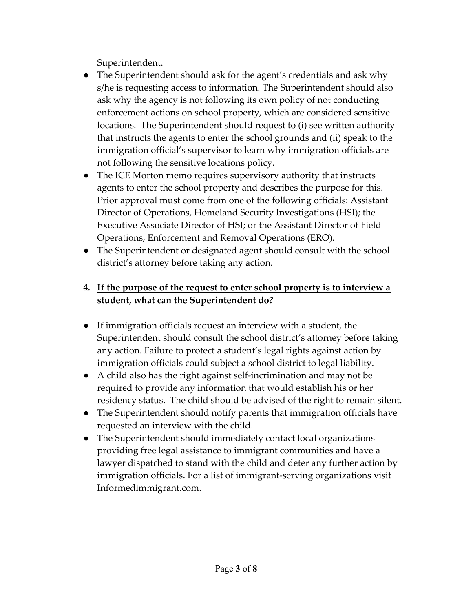Superintendent.

- The Superintendent should ask for the agent's credentials and ask why s/he is requesting access to information. The Superintendent should also ask why the agency is not following its own policy of not conducting enforcement actions on school property, which are considered sensitive locations. The Superintendent should request to (i) see written authority that instructs the agents to enter the school grounds and (ii) speak to the immigration official's supervisor to learn why immigration officials are not following the sensitive locations policy.
- The ICE Morton memo requires supervisory authority that instructs agents to enter the school property and describes the purpose for this. Prior approval must come from one of the following officials: Assistant Director of Operations, Homeland Security Investigations (HSI); the Executive Associate Director of HSI; or the Assistant Director of Field Operations, Enforcement and Removal Operations (ERO).
- The Superintendent or designated agent should consult with the school district's attorney before taking any action.

#### **4. If the purpose of the request to enter school property is to interview a student, what can the Superintendent do?**

- If immigration officials request an interview with a student, the Superintendent should consult the school district's attorney before taking any action. Failure to protect a student's legal rights against action by immigration officials could subject a school district to legal liability.
- A child also has the right against self-incrimination and may not be required to provide any information that would establish his or her residency status. The child should be advised of the right to remain silent.
- The Superintendent should notify parents that immigration officials have requested an interview with the child.
- The Superintendent should immediately contact local organizations providing free legal assistance to immigrant communities and have a lawyer dispatched to stand with the child and deter any further action by immigration officials. For a list of immigrant-serving organizations visit Informedimmigrant.com.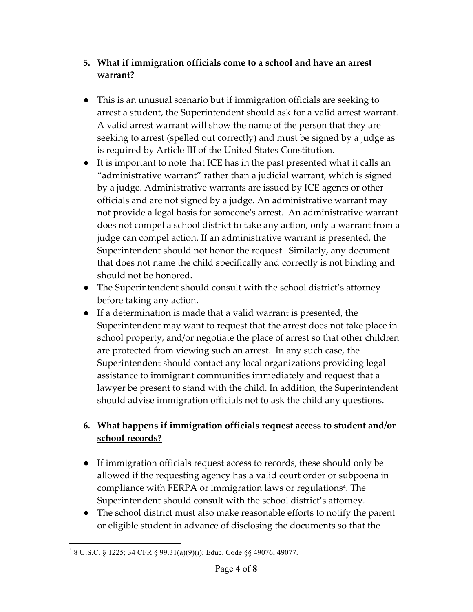## **5. What if immigration officials come to a school and have an arrest warrant?**

- This is an unusual scenario but if immigration officials are seeking to arrest a student, the Superintendent should ask for a valid arrest warrant. A valid arrest warrant will show the name of the person that they are seeking to arrest (spelled out correctly) and must be signed by a judge as is required by Article III of the United States Constitution.
- It is important to note that ICE has in the past presented what it calls an "administrative warrant" rather than a judicial warrant, which is signed by a judge. Administrative warrants are issued by ICE agents or other officials and are not signed by a judge. An administrative warrant may not provide a legal basis for someone's arrest. An administrative warrant does not compel a school district to take any action, only a warrant from a judge can compel action. If an administrative warrant is presented, the Superintendent should not honor the request. Similarly, any document that does not name the child specifically and correctly is not binding and should not be honored.
- The Superintendent should consult with the school district's attorney before taking any action.
- If a determination is made that a valid warrant is presented, the Superintendent may want to request that the arrest does not take place in school property, and/or negotiate the place of arrest so that other children are protected from viewing such an arrest. In any such case, the Superintendent should contact any local organizations providing legal assistance to immigrant communities immediately and request that a lawyer be present to stand with the child. In addition, the Superintendent should advise immigration officials not to ask the child any questions.

### **6. What happens if immigration officials request access to student and/or school records?**

- If immigration officials request access to records, these should only be allowed if the requesting agency has a valid court order or subpoena in compliance with FERPA or immigration laws or regulations<sup>4</sup>. The Superintendent should consult with the school district's attorney.
- The school district must also make reasonable efforts to notify the parent or eligible student in advance of disclosing the documents so that the

 $48$  U.S.C. § 1225; 34 CFR § 99.31(a)(9)(i); Educ. Code §§ 49076; 49077.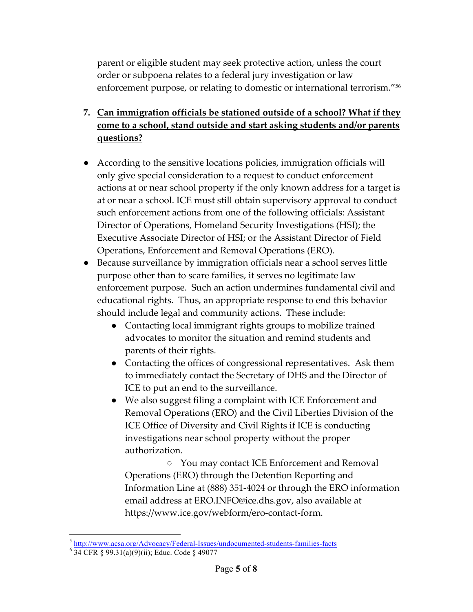parent or eligible student may seek protective action, unless the court order or subpoena relates to a federal jury investigation or law enforcement purpose, or relating to domestic or international terrorism."56

- **7. Can immigration officials be stationed outside of a school? What if they come to a school, stand outside and start asking students and/or parents questions?**
- According to the sensitive locations policies, immigration officials will only give special consideration to a request to conduct enforcement actions at or near school property if the only known address for a target is at or near a school. ICE must still obtain supervisory approval to conduct such enforcement actions from one of the following officials: Assistant Director of Operations, Homeland Security Investigations (HSI); the Executive Associate Director of HSI; or the Assistant Director of Field Operations, Enforcement and Removal Operations (ERO).
- Because surveillance by immigration officials near a school serves little purpose other than to scare families, it serves no legitimate law enforcement purpose. Such an action undermines fundamental civil and educational rights. Thus, an appropriate response to end this behavior should include legal and community actions. These include:
	- Contacting local immigrant rights groups to mobilize trained advocates to monitor the situation and remind students and parents of their rights.
	- Contacting the offices of congressional representatives. Ask them to immediately contact the Secretary of DHS and the Director of ICE to put an end to the surveillance.
	- We also suggest filing a complaint with ICE Enforcement and Removal Operations (ERO) and the Civil Liberties Division of the ICE Office of Diversity and Civil Rights if ICE is conducting investigations near school property without the proper authorization.

○ You may contact ICE Enforcement and Removal Operations (ERO) through the Detention Reporting and Information Line at (888) 351-4024 or through the ERO information email address at ERO.INFO@ice.dhs.gov, also available at https://www.ice.gov/webform/ero-contact-form.

 $\frac{5 \text{ http://www.acsa.org/Advocacy/Federal-Isues/undocumented-students-families-facts}}{34 \text{ CFR } \text{\$ } 99.31(a)(9)(ii); \text{Educ. Code } \text{\$ } 49077$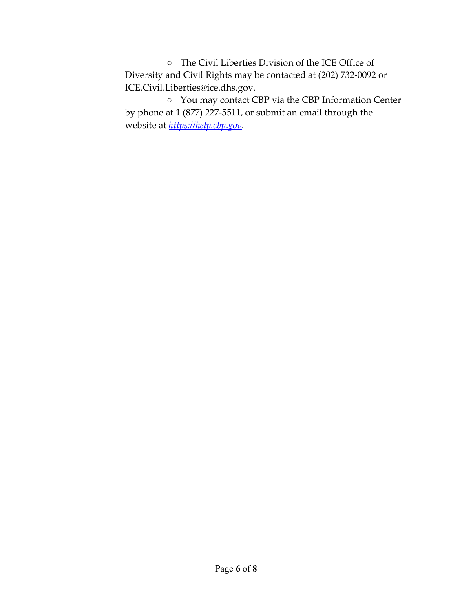○ The Civil Liberties Division of the ICE Office of Diversity and Civil Rights may be contacted at (202) 732-0092 or ICE.Civil.Liberties@ice.dhs.gov.

○ You may contact CBP via the CBP Information Center by phone at 1 (877) 227-5511, or submit an email through the website at *https://help.cbp.gov*.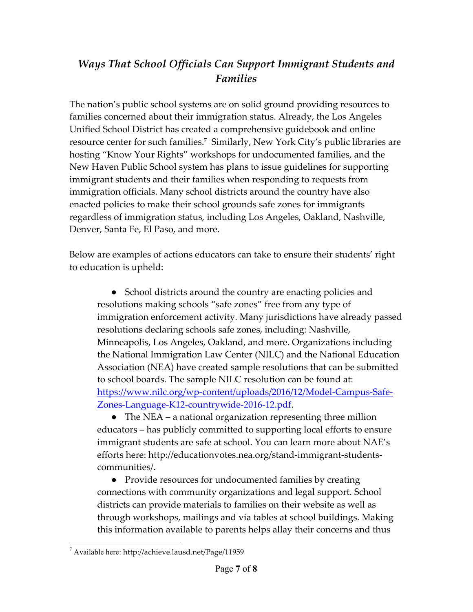## *Ways That School Officials Can Support Immigrant Students and Families*

The nation's public school systems are on solid ground providing resources to families concerned about their immigration status. Already, the Los Angeles Unified School District has created a comprehensive guidebook and online resource center for such families.7 Similarly, New York City's public libraries are hosting "Know Your Rights" workshops for undocumented families, and the New Haven Public School system has plans to issue guidelines for supporting immigrant students and their families when responding to requests from immigration officials. Many school districts around the country have also enacted policies to make their school grounds safe zones for immigrants regardless of immigration status, including Los Angeles, Oakland, Nashville, Denver, Santa Fe, El Paso, and more.

Below are examples of actions educators can take to ensure their students' right to education is upheld:

• School districts around the country are enacting policies and resolutions making schools "safe zones" free from any type of immigration enforcement activity. Many jurisdictions have already passed resolutions declaring schools safe zones, including: Nashville, Minneapolis, Los Angeles, Oakland, and more. Organizations including the National Immigration Law Center (NILC) and the National Education Association (NEA) have created sample resolutions that can be submitted to school boards. The sample NILC resolution can be found at: https://www.nilc.org/wp-content/uploads/2016/12/Model-Campus-Safe-Zones-Language-K12-countrywide-2016-12.pdf.

• The NEA – a national organization representing three million educators – has publicly committed to supporting local efforts to ensure immigrant students are safe at school. You can learn more about NAE's efforts here: http://educationvotes.nea.org/stand-immigrant-studentscommunities/.

● Provide resources for undocumented families by creating connections with community organizations and legal support. School districts can provide materials to families on their website as well as through workshops, mailings and via tables at school buildings. Making this information available to parents helps allay their concerns and thus

 <sup>7</sup> Available here: http://achieve.lausd.net/Page/11959